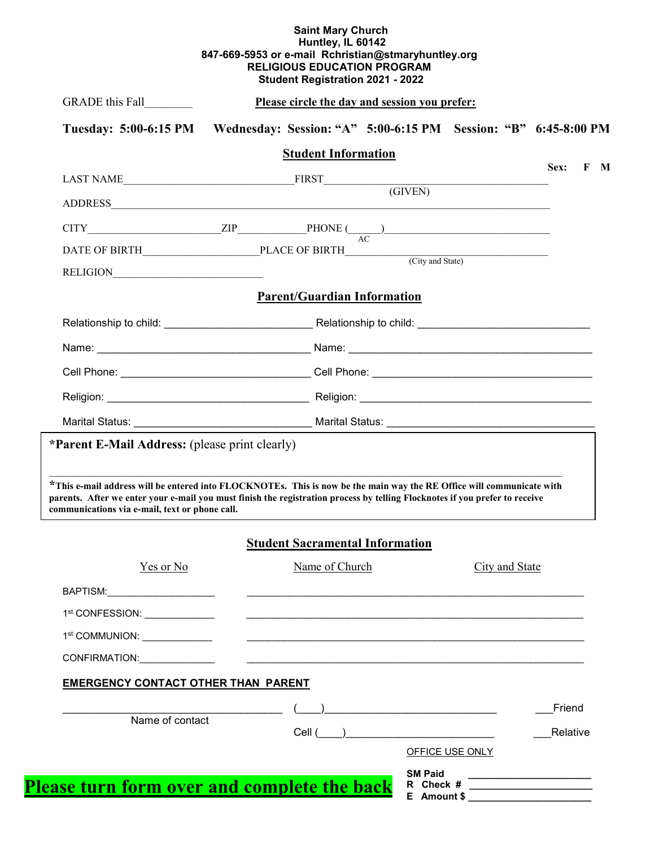## **Saint Mary Church Huntley, IL 60142 847-669-5953 or e-mail Rchristian@stmaryhuntley.org RELIGIOUS EDUCATION PROGRAM Student Registration 2021 - 2022**

| GRADE this Fall                                | Please circle the day and session you prefer:                                                                               |             |
|------------------------------------------------|-----------------------------------------------------------------------------------------------------------------------------|-------------|
|                                                | Tuesday: 5:00-6:15 PM Wednesday: Session: "A" 5:00-6:15 PM Session: "B" 6:45-8:00 PM                                        |             |
|                                                | <b>Student Information</b>                                                                                                  | Sex:<br>F M |
|                                                |                                                                                                                             |             |
|                                                |                                                                                                                             |             |
|                                                | $CITY$ $ZIP$ $PHONE$ $A C$                                                                                                  |             |
|                                                |                                                                                                                             |             |
|                                                |                                                                                                                             |             |
|                                                | <b>Parent/Guardian Information</b>                                                                                          |             |
|                                                |                                                                                                                             |             |
|                                                |                                                                                                                             |             |
|                                                |                                                                                                                             |             |
|                                                |                                                                                                                             |             |
|                                                |                                                                                                                             |             |
| *Parent E-Mail Address: (please print clearly) | *This e-mail address will be entered into FLOCKNOTEs. This is now be the main way the RE Office will communicate with       |             |
| communications via e-mail, text or phone call. | parents. After we enter your e-mail you must finish the registration process by telling Flocknotes if you prefer to receive |             |
|                                                | <b>Student Sacramental Information</b>                                                                                      |             |
| Yes or No                                      | Name of Church<br>City and State                                                                                            |             |
| BAPTISM:_______________________                | <u> 1989 - Johann Stein, mars an de Brasilian (b. 1989)</u>                                                                 |             |
| 1st CONFESSION: _____________                  | <u> 1989 - Johann Stoff, amerikansk politiker (d. 1989)</u>                                                                 |             |
| 1 <sup>st</sup> COMMUNION: _____________       |                                                                                                                             |             |
| CONFIRMATION: CONFIRMATION:                    | <u> 1980 - Jan Barbara Barbara, maska kardinal (h. 1980).</u>                                                               |             |
| <b>EMERGENCY CONTACT OTHER THAN PARENT</b>     |                                                                                                                             |             |
| Name of contact                                |                                                                                                                             | Friend      |
|                                                | OFFICE USE ONLY                                                                                                             | Relative    |